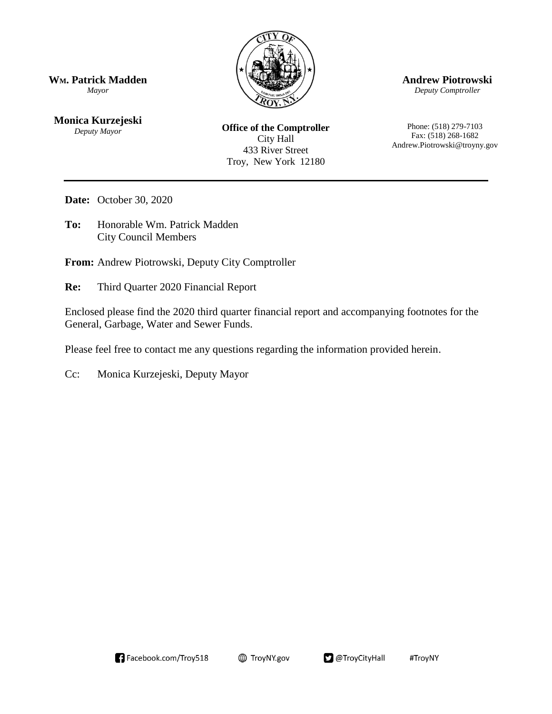

**WM. Patrick Madden** *Mayor*

**Monica Kurzejeski** *Deputy Mayor*

**Office of the Comptroller** City Hall 433 River Street Troy, New York 12180

**Andrew Piotrowski**

*Deputy Comptroller*

Phone: (518) 279-7103 Fax: (518) 268-1682 Andrew.Piotrowski@troyny.gov

**Date:** October 30, 2020

**To:** Honorable Wm. Patrick Madden City Council Members

**From:** Andrew Piotrowski, Deputy City Comptroller

**Re:** Third Quarter 2020 Financial Report

Enclosed please find the 2020 third quarter financial report and accompanying footnotes for the General, Garbage, Water and Sewer Funds.

@TroyCityHall

#TroyNY

Please feel free to contact me any questions regarding the information provided herein.

**E** TroyNY.gov

Cc: Monica Kurzejeski, Deputy Mayor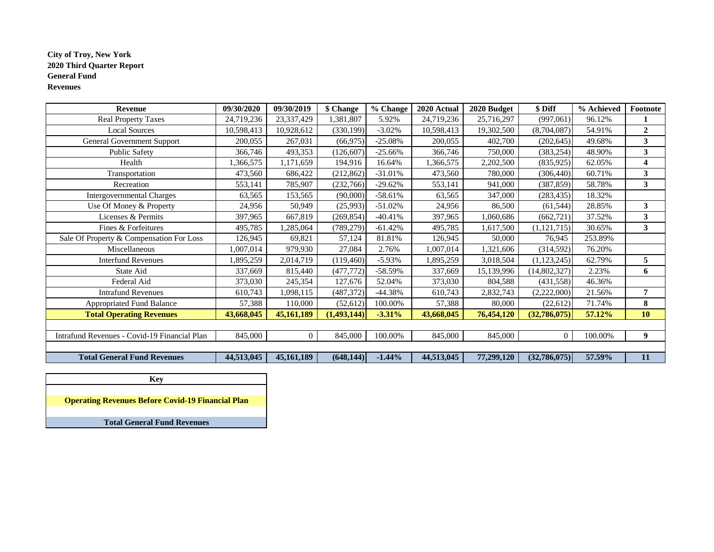### **City of Troy, New York 2020 Third Quarter Report General Fund Revenues**

| Revenue                                      | 09/30/2020 | 09/30/2019 | \$ Change     | % Change  | 2020 Actual | 2020 Budget | \$ Diff        | % Achieved | Footnote       |
|----------------------------------------------|------------|------------|---------------|-----------|-------------|-------------|----------------|------------|----------------|
| <b>Real Property Taxes</b>                   | 24,719,236 | 23,337,429 | ,381,807      | 5.92%     | 24,719,236  | 25,716,297  | (997,061)      | 96.12%     |                |
| <b>Local Sources</b>                         | 10,598,413 | 10,928,612 | (330, 199)    | $-3.02%$  | 10,598,413  | 19,302,500  | (8,704,087)    | 54.91%     | $\overline{2}$ |
| General Government Support                   | 200,055    | 267,031    | (66, 975)     | $-25.08%$ | 200,055     | 402,700     | (202, 645)     | 49.68%     | 3              |
| <b>Public Safety</b>                         | 366,746    | 493,353    | (126, 607)    | $-25.66%$ | 366,746     | 750,000     | (383, 254)     | 48.90%     | $\mathbf{3}$   |
| Health                                       | ,366,575   | 1,171,659  | 194,916       | 16.64%    | 1,366,575   | 2,202,500   | (835,925)      | 62.05%     | 4              |
| Transportation                               | 473,560    | 686,422    | (212, 862)    | $-31.01%$ | 473,560     | 780,000     | (306, 440)     | 60.71%     | 3              |
| Recreation                                   | 553,141    | 785,907    | (232,766)     | $-29.62%$ | 553,141     | 941,000     | (387, 859)     | 58.78%     | 3              |
| <b>Intergovernmental Charges</b>             | 63,565     | 153,565    | (90,000)      | $-58.61%$ | 63,565      | 347,000     | (283, 435)     | 18.32%     |                |
| Use Of Money & Property                      | 24,956     | 50,949     | (25,993)      | $-51.02%$ | 24,956      | 86,500      | (61, 544)      | 28.85%     | 3              |
| Licenses & Permits                           | 397,965    | 667,819    | (269, 854)    | $-40.41%$ | 397,965     | 1,060,686   | (662, 721)     | 37.52%     | $\mathbf{3}$   |
| Fines & Forfeitures                          | 495,785    | ,285,064   | (789, 279)    | $-61.42%$ | 495,785     | 1,617,500   | (1, 121, 715)  | 30.65%     | $\mathbf{3}$   |
| Sale Of Property & Compensation For Loss     | 126,945    | 69,821     | 57,124        | 81.81%    | 126,945     | 50,000      | 76,945         | 253.89%    |                |
| Miscellaneous                                | ,007,014   | 979,930    | 27,084        | 2.76%     | 1,007,014   | 1,321,606   | (314, 592)     | 76.20%     |                |
| <b>Interfund Revenues</b>                    | ,895,259   | 2,014,719  | (119, 460)    | $-5.93%$  | 1,895,259   | 3,018,504   | (1, 123, 245)  | 62.79%     | 5              |
| State Aid                                    | 337,669    | 815,440    | (477, 772)    | $-58.59%$ | 337,669     | 15,139,996  | (14, 802, 327) | 2.23%      | 6              |
| Federal Aid                                  | 373,030    | 245,354    | 127,676       | 52.04%    | 373,030     | 804,588     | (431, 558)     | 46.36%     |                |
| <b>Intrafund Revenues</b>                    | 610,743    | ,098,115   | (487, 372)    | $-44.38%$ | 610,743     | 2,832,743   | (2,222,000)    | 21.56%     | 7              |
| <b>Appropriated Fund Balance</b>             | 57,388     | 110,000    | (52, 612)     | 100.00%   | 57,388      | 80,000      | (22, 612)      | 71.74%     | 8              |
| <b>Total Operating Revenues</b>              | 43,668,045 | 45,161,189 | (1, 493, 144) | $-3.31%$  | 43,668,045  | 76,454,120  | (32,786,075)   | 57.12%     | 10             |
|                                              |            |            |               |           |             |             |                |            |                |
| Intrafund Revenues - Covid-19 Financial Plan | 845,000    | $\Omega$   | 845,000       | 100.00%   | 845,000     | 845,000     | $\overline{0}$ | 100.00%    | 9              |
|                                              |            |            |               |           |             |             |                |            |                |
| <b>Total General Fund Revenues</b>           | 44,513,045 | 45,161,189 | (648, 144)    | $-1.44%$  | 44,513,045  | 77,299,120  | (32,786,075)   | 57.59%     | 11             |

| Kev                                                      |
|----------------------------------------------------------|
|                                                          |
| <b>Operating Revenues Before Covid-19 Financial Plan</b> |
|                                                          |
| <b>Total General Fund Revenues</b>                       |

٦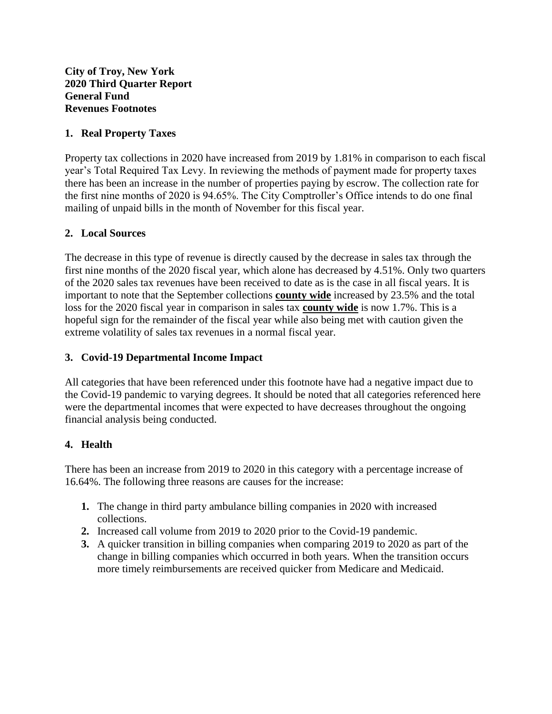# **1. Real Property Taxes**

Property tax collections in 2020 have increased from 2019 by 1.81% in comparison to each fiscal year's Total Required Tax Levy. In reviewing the methods of payment made for property taxes there has been an increase in the number of properties paying by escrow. The collection rate for the first nine months of 2020 is 94.65%. The City Comptroller's Office intends to do one final mailing of unpaid bills in the month of November for this fiscal year.

## **2. Local Sources**

The decrease in this type of revenue is directly caused by the decrease in sales tax through the first nine months of the 2020 fiscal year, which alone has decreased by 4.51%. Only two quarters of the 2020 sales tax revenues have been received to date as is the case in all fiscal years. It is important to note that the September collections **county wide** increased by 23.5% and the total loss for the 2020 fiscal year in comparison in sales tax **county wide** is now 1.7%. This is a hopeful sign for the remainder of the fiscal year while also being met with caution given the extreme volatility of sales tax revenues in a normal fiscal year.

## **3. Covid-19 Departmental Income Impact**

All categories that have been referenced under this footnote have had a negative impact due to the Covid-19 pandemic to varying degrees. It should be noted that all categories referenced here were the departmental incomes that were expected to have decreases throughout the ongoing financial analysis being conducted.

## **4. Health**

There has been an increase from 2019 to 2020 in this category with a percentage increase of 16.64%. The following three reasons are causes for the increase:

- **1.** The change in third party ambulance billing companies in 2020 with increased collections.
- **2.** Increased call volume from 2019 to 2020 prior to the Covid-19 pandemic.
- **3.** A quicker transition in billing companies when comparing 2019 to 2020 as part of the change in billing companies which occurred in both years. When the transition occurs more timely reimbursements are received quicker from Medicare and Medicaid.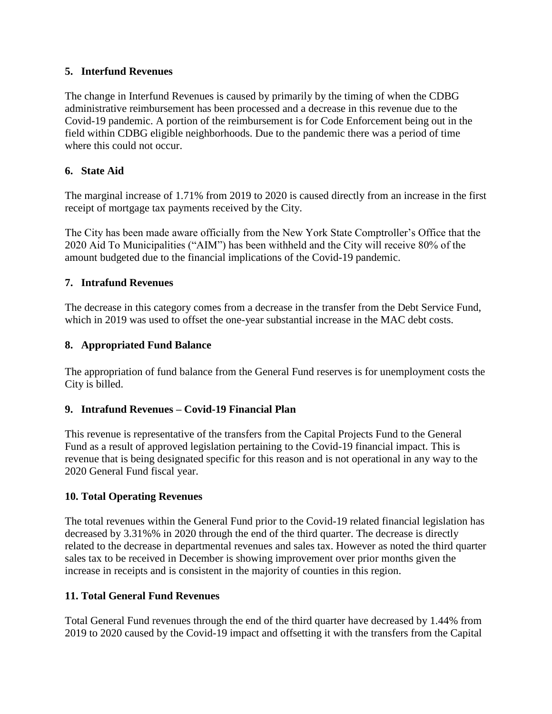## **5. Interfund Revenues**

The change in Interfund Revenues is caused by primarily by the timing of when the CDBG administrative reimbursement has been processed and a decrease in this revenue due to the Covid-19 pandemic. A portion of the reimbursement is for Code Enforcement being out in the field within CDBG eligible neighborhoods. Due to the pandemic there was a period of time where this could not occur.

# **6. State Aid**

The marginal increase of 1.71% from 2019 to 2020 is caused directly from an increase in the first receipt of mortgage tax payments received by the City.

The City has been made aware officially from the New York State Comptroller's Office that the 2020 Aid To Municipalities ("AIM") has been withheld and the City will receive 80% of the amount budgeted due to the financial implications of the Covid-19 pandemic.

# **7. Intrafund Revenues**

The decrease in this category comes from a decrease in the transfer from the Debt Service Fund, which in 2019 was used to offset the one-year substantial increase in the MAC debt costs.

# **8. Appropriated Fund Balance**

The appropriation of fund balance from the General Fund reserves is for unemployment costs the City is billed.

# **9. Intrafund Revenues – Covid-19 Financial Plan**

This revenue is representative of the transfers from the Capital Projects Fund to the General Fund as a result of approved legislation pertaining to the Covid-19 financial impact. This is revenue that is being designated specific for this reason and is not operational in any way to the 2020 General Fund fiscal year.

## **10. Total Operating Revenues**

The total revenues within the General Fund prior to the Covid-19 related financial legislation has decreased by 3.31%% in 2020 through the end of the third quarter. The decrease is directly related to the decrease in departmental revenues and sales tax. However as noted the third quarter sales tax to be received in December is showing improvement over prior months given the increase in receipts and is consistent in the majority of counties in this region.

## **11. Total General Fund Revenues**

Total General Fund revenues through the end of the third quarter have decreased by 1.44% from 2019 to 2020 caused by the Covid-19 impact and offsetting it with the transfers from the Capital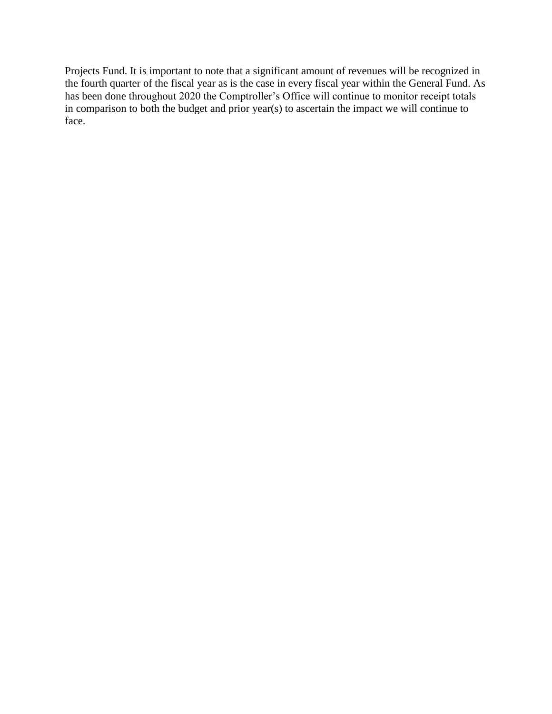Projects Fund. It is important to note that a significant amount of revenues will be recognized in the fourth quarter of the fiscal year as is the case in every fiscal year within the General Fund. As has been done throughout 2020 the Comptroller's Office will continue to monitor receipt totals in comparison to both the budget and prior year(s) to ascertain the impact we will continue to face.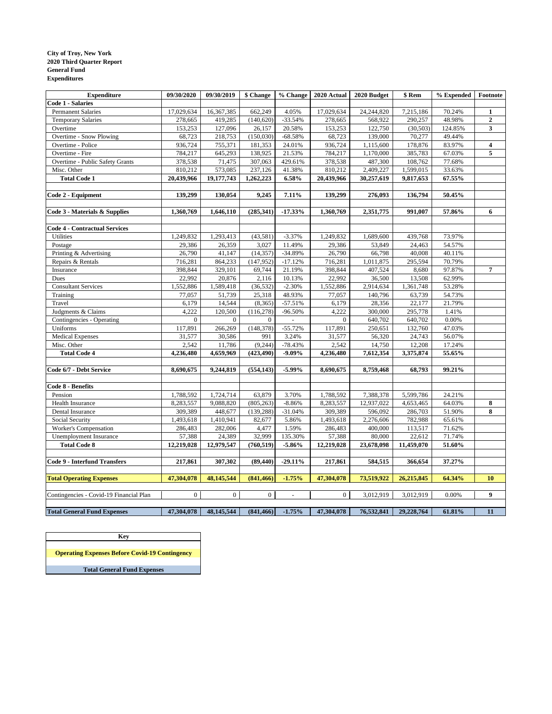#### **City of Troy, New York 2020 Third Quarter Report General Fund Expenditures**

| <b>Expenditure</b>                      | 09/30/2020       | 09/30/2019     | \$ Change        | % Change       | 2020 Actual    | 2020 Budget | \$ Rem     | % Expended | Footnote     |
|-----------------------------------------|------------------|----------------|------------------|----------------|----------------|-------------|------------|------------|--------------|
| <b>Code 1 - Salaries</b>                |                  |                |                  |                |                |             |            |            |              |
| <b>Permanent Salaries</b>               | 17,029,634       | 16,367,385     | 662,249          | 4.05%          | 17,029,634     | 24,244,820  | 7,215,186  | 70.24%     | 1            |
| <b>Temporary Salaries</b>               | 278,665          | 419,285        | (140, 620)       | $-33.54%$      | 278,665        | 568,922     | 290,257    | 48.98%     | $\mathbf{2}$ |
| Overtime                                | 153,253          | 127,096        | 26,157           | 20.58%         | 153,253        | 122,750     | (30, 503)  | 124.85%    | 3            |
| Overtime - Snow Plowing                 | 68,723           | 218,753        | (150,030)        | $-68.58%$      | 68,723         | 139,000     | 70,277     | 49.44%     |              |
| Overtime - Police                       | 936,724          | 755,371        | 181,353          | 24.01%         | 936,724        | 1,115,600   | 178,876    | 83.97%     | 4            |
| Overtime - Fire                         | 784,217          | 645,293        | 138,925          | 21.53%         | 784,217        | 1,170,000   | 385,783    | 67.03%     | 5            |
| Overtime - Public Safety Grants         | 378,538          | 71,475         | 307,063          | 429.61%        | 378,538        | 487,300     | 108,762    | 77.68%     |              |
| Misc. Other                             | 810,212          | 573,085        | 237,126          | 41.38%         | 810,212        | 2,409,227   | 1,599,015  | 33.63%     |              |
| <b>Total Code 1</b>                     | 20,439,966       | 19,177,743     | 1,262,223        | 6.58%          | 20,439,966     | 30,257,619  | 9,817,653  | 67.55%     |              |
|                                         |                  |                |                  |                |                |             |            |            |              |
| Code 2 - Equipment                      | 139,299          | 130,054        | 9,245            | 7.11%          | 139,299        | 276,093     | 136,794    | 50.45%     |              |
|                                         |                  |                |                  |                |                |             |            |            |              |
| Code 3 - Materials & Supplies           | 1,360,769        | 1,646,110      | (285, 341)       | $-17.33%$      | 1,360,769      | 2,351,775   | 991,007    | 57.86%     | 6            |
| <b>Code 4 - Contractual Services</b>    |                  |                |                  |                |                |             |            |            |              |
| Utilities                               | 1,249,832        | 1,293,413      | (43,581)         | $-3.37%$       | 1,249,832      | 1,689,600   | 439,768    | 73.97%     |              |
| Postage                                 | 29,386           | 26,359         | 3,027            | 11.49%         | 29,386         | 53,849      | 24,463     | 54.57%     |              |
| Printing & Advertising                  | 26,790           | 41,147         | (14, 357)        | $-34.89%$      | 26,790         | 66,798      | 40,008     | 40.11%     |              |
| Repairs & Rentals                       | 716,281          | 864,233        | (147, 952)       | $-17.12%$      | 716,281        | 1,011,875   | 295,594    | 70.79%     |              |
| Insurance                               | 398,844          | 329,101        | 69,744           | 21.19%         | 398,844        | 407,524     | 8,680      | 97.87%     | 7            |
| Dues                                    | 22,992           | 20,876         | 2,116            | 10.13%         | 22,992         | 36,500      | 13,508     | 62.99%     |              |
| <b>Consultant Services</b>              | 1,552,886        | 1,589,418      | (36, 532)        | $-2.30%$       | 1,552,886      | 2,914,634   | 1,361,748  | 53.28%     |              |
| Training                                | 77,057           | 51,739         | 25,318           | 48.93%         | 77,057         | 140,796     | 63,739     | 54.73%     |              |
| Travel                                  | 6,179            | 14,544         | (8,365)          | $-57.51%$      | 6,179          | 28,356      | 22,177     | 21.79%     |              |
| Judgments & Claims                      | 4,222            | 120,500        | (116, 278)       | $-96.50%$      | 4,222          | 300,000     | 295,778    | 1.41%      |              |
| Contingencies - Operating               | $\boldsymbol{0}$ | $\overline{0}$ | $\mathbf{0}$     | $\mathbb{Z}^2$ | $\overline{0}$ | 640,702     | 640,702    | $0.00\%$   |              |
| Uniforms                                | 117,891          | 266,269        | (148, 378)       | $-55.72%$      | 117,891        | 250,651     | 132,760    | 47.03%     |              |
| <b>Medical Expenses</b>                 | 31,577           | 30,586         | 991              | 3.24%          | 31,577         | 56,320      | 24,743     | 56.07%     |              |
| Misc. Other                             | 2,542            | 11,786         | (9, 244)         | $-78.43%$      | 2,542          | 14,750      | 12,208     | 17.24%     |              |
| <b>Total Code 4</b>                     | 4,236,480        | 4,659,969      | (423, 490)       | $-9.09%$       | 4,236,480      | 7,612,354   | 3,375,874  | 55.65%     |              |
|                                         |                  |                |                  |                |                |             |            |            |              |
| Code 6/7 - Debt Service                 | 8,690,675        | 9,244,819      | (554, 143)       | $-5.99%$       | 8,690,675      | 8,759,468   | 68,793     | 99.21%     |              |
|                                         |                  |                |                  |                |                |             |            |            |              |
| Code 8 - Benefits                       |                  |                |                  |                |                |             |            |            |              |
| Pension                                 | 1,788,592        | 1,724,714      | 63,879           | 3.70%          | 1,788,592      | 7,388,378   | 5,599,786  | 24.21%     |              |
| Health Insurance                        | 8,283,557        | 9,088,820      | (805, 263)       | $-8.86%$       | 8,283,557      | 12,937,022  | 4,653,465  | 64.03%     | 8            |
| Dental Insurance                        | 309,389          | 448,677        | (139, 288)       | $-31.04%$      | 309,389        | 596,092     | 286,703    | 51.90%     | 8            |
| Social Security                         | 1,493,618        | 1,410,941      | 82,677           | 5.86%          | 1,493,618      | 2,276,606   | 782,988    | 65.61%     |              |
| Worker's Compensation                   | 286,483          | 282,006        | 4,477            | 1.59%          | 286,483        | 400,000     | 113,517    | 71.62%     |              |
| Unemployment Insurance                  | 57,388           | 24,389         | 32,999           | 135.30%        | 57,388         | 80,000      | 22,612     | 71.74%     |              |
| <b>Total Code 8</b>                     | 12,219,028       | 12,979,547     | (760, 519)       | $-5.86%$       | 12,219,028     | 23,678,098  | 11,459,070 | 51.60%     |              |
|                                         |                  |                |                  |                |                |             |            |            |              |
| <b>Code 9 - Interfund Transfers</b>     | 217,861          | 307,302        | (89, 440)        | $-29.11%$      | 217,861        | 584,515     | 366,654    | 37.27%     |              |
|                                         |                  |                |                  |                |                |             |            |            |              |
| <b>Total Operating Expenses</b>         | 47,304,078       | 48,145,544     | (841, 466)       | $-1.75%$       | 47,304,078     | 73,519,922  | 26,215,845 | 64.34%     | 10           |
| Contingencies - Covid-19 Financial Plan | $\overline{0}$   | $\overline{0}$ | $\boldsymbol{0}$ | $\blacksquare$ | $\overline{0}$ | 3,012,919   | 3,012,919  | 0.00%      | 9            |
|                                         |                  |                |                  |                |                |             |            |            |              |
| <b>Total General Fund Expenses</b>      | 47,304,078       | 48,145,544     | (841, 466)       | $-1.75%$       | 47,304,078     | 76,532,841  | 29,228,764 | 61.81%     | 11           |

**Operating Expenses Before Covid-19 Contingency Total General Fund Expenses Key**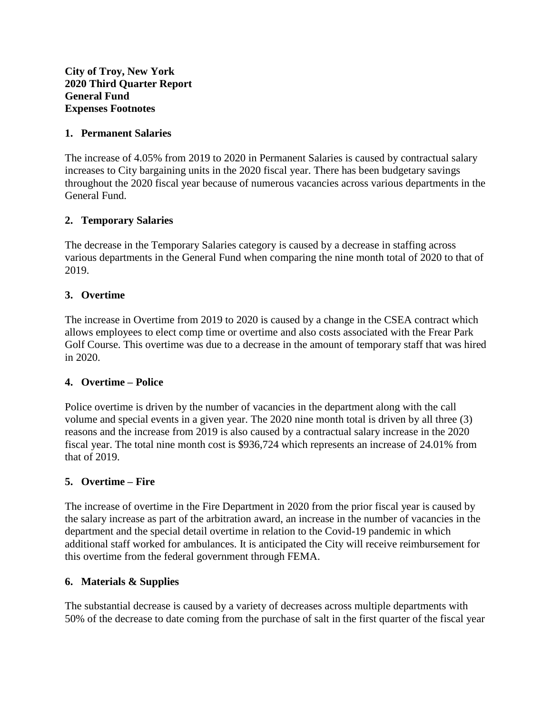**City of Troy, New York 2020 Third Quarter Report General Fund Expenses Footnotes**

### **1. Permanent Salaries**

The increase of 4.05% from 2019 to 2020 in Permanent Salaries is caused by contractual salary increases to City bargaining units in the 2020 fiscal year. There has been budgetary savings throughout the 2020 fiscal year because of numerous vacancies across various departments in the General Fund.

## **2. Temporary Salaries**

The decrease in the Temporary Salaries category is caused by a decrease in staffing across various departments in the General Fund when comparing the nine month total of 2020 to that of 2019.

### **3. Overtime**

The increase in Overtime from 2019 to 2020 is caused by a change in the CSEA contract which allows employees to elect comp time or overtime and also costs associated with the Frear Park Golf Course. This overtime was due to a decrease in the amount of temporary staff that was hired in 2020.

### **4. Overtime – Police**

Police overtime is driven by the number of vacancies in the department along with the call volume and special events in a given year. The 2020 nine month total is driven by all three (3) reasons and the increase from 2019 is also caused by a contractual salary increase in the 2020 fiscal year. The total nine month cost is \$936,724 which represents an increase of 24.01% from that of 2019.

### **5. Overtime – Fire**

The increase of overtime in the Fire Department in 2020 from the prior fiscal year is caused by the salary increase as part of the arbitration award, an increase in the number of vacancies in the department and the special detail overtime in relation to the Covid-19 pandemic in which additional staff worked for ambulances. It is anticipated the City will receive reimbursement for this overtime from the federal government through FEMA.

### **6. Materials & Supplies**

The substantial decrease is caused by a variety of decreases across multiple departments with 50% of the decrease to date coming from the purchase of salt in the first quarter of the fiscal year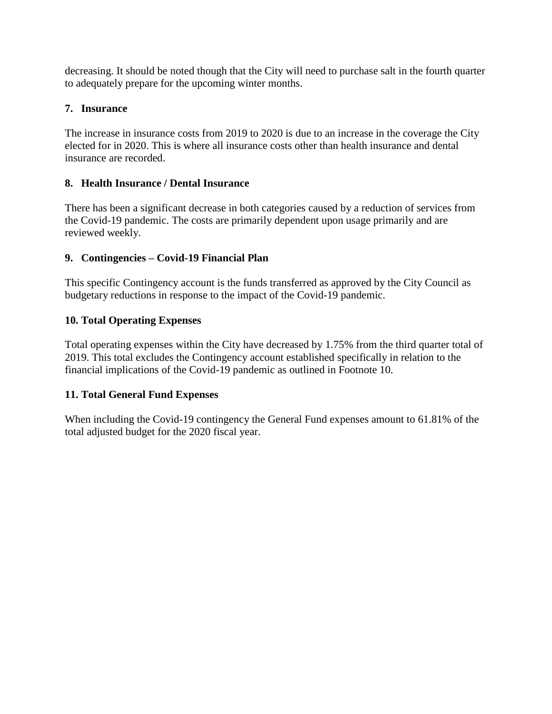decreasing. It should be noted though that the City will need to purchase salt in the fourth quarter to adequately prepare for the upcoming winter months.

# **7. Insurance**

The increase in insurance costs from 2019 to 2020 is due to an increase in the coverage the City elected for in 2020. This is where all insurance costs other than health insurance and dental insurance are recorded.

# **8. Health Insurance / Dental Insurance**

There has been a significant decrease in both categories caused by a reduction of services from the Covid-19 pandemic. The costs are primarily dependent upon usage primarily and are reviewed weekly.

# **9. Contingencies – Covid-19 Financial Plan**

This specific Contingency account is the funds transferred as approved by the City Council as budgetary reductions in response to the impact of the Covid-19 pandemic.

# **10. Total Operating Expenses**

Total operating expenses within the City have decreased by 1.75% from the third quarter total of 2019. This total excludes the Contingency account established specifically in relation to the financial implications of the Covid-19 pandemic as outlined in Footnote 10.

# **11. Total General Fund Expenses**

When including the Covid-19 contingency the General Fund expenses amount to 61.81% of the total adjusted budget for the 2020 fiscal year.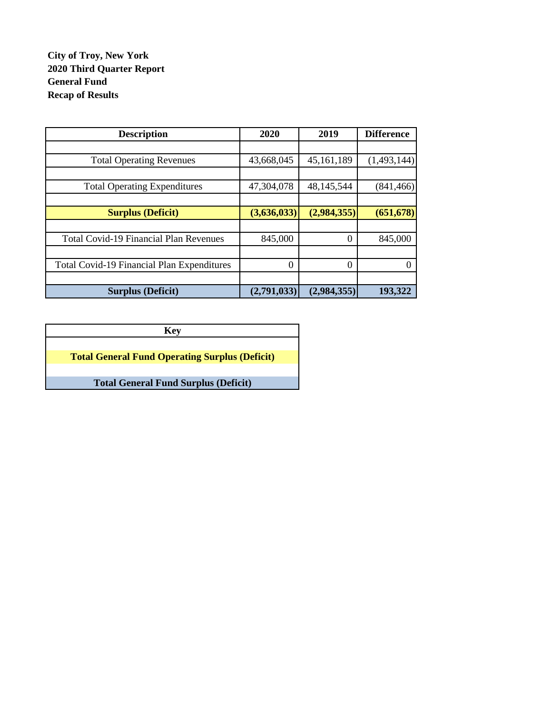# **City of Troy, New York 2020 Third Quarter Report General Fund Recap of Results**

| <b>Description</b>                                | 2020        | 2019        | <b>Difference</b> |
|---------------------------------------------------|-------------|-------------|-------------------|
|                                                   |             |             |                   |
| <b>Total Operating Revenues</b>                   | 43,668,045  | 45,161,189  | (1,493,144)       |
|                                                   |             |             |                   |
| <b>Total Operating Expenditures</b>               | 47,304,078  | 48,145,544  | (841, 466)        |
|                                                   |             |             |                   |
| <b>Surplus (Deficit)</b>                          | (3,636,033) | (2,984,355) | (651, 678)        |
|                                                   |             |             |                   |
| <b>Total Covid-19 Financial Plan Revenues</b>     | 845,000     | $\Omega$    | 845,000           |
|                                                   |             |             |                   |
| <b>Total Covid-19 Financial Plan Expenditures</b> | $\Omega$    | 0           |                   |
|                                                   |             |             |                   |
| <b>Surplus (Deficit)</b>                          | (2,791,033) | (2,984,355) | 193,322           |

**Key Total General Fund Operating Surplus (Deficit) Total General Fund Surplus (Deficit)**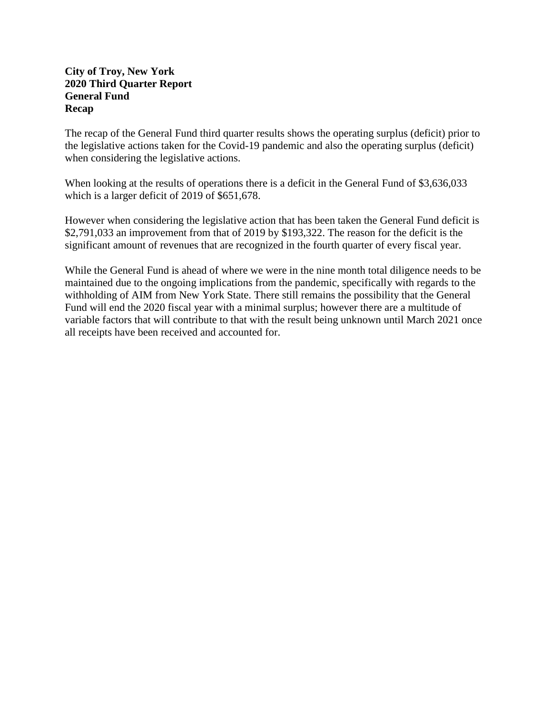### **City of Troy, New York 2020 Third Quarter Report General Fund Recap**

The recap of the General Fund third quarter results shows the operating surplus (deficit) prior to the legislative actions taken for the Covid-19 pandemic and also the operating surplus (deficit) when considering the legislative actions.

When looking at the results of operations there is a deficit in the General Fund of \$3,636,033 which is a larger deficit of 2019 of \$651,678.

However when considering the legislative action that has been taken the General Fund deficit is \$2,791,033 an improvement from that of 2019 by \$193,322. The reason for the deficit is the significant amount of revenues that are recognized in the fourth quarter of every fiscal year.

While the General Fund is ahead of where we were in the nine month total diligence needs to be maintained due to the ongoing implications from the pandemic, specifically with regards to the withholding of AIM from New York State. There still remains the possibility that the General Fund will end the 2020 fiscal year with a minimal surplus; however there are a multitude of variable factors that will contribute to that with the result being unknown until March 2021 once all receipts have been received and accounted for.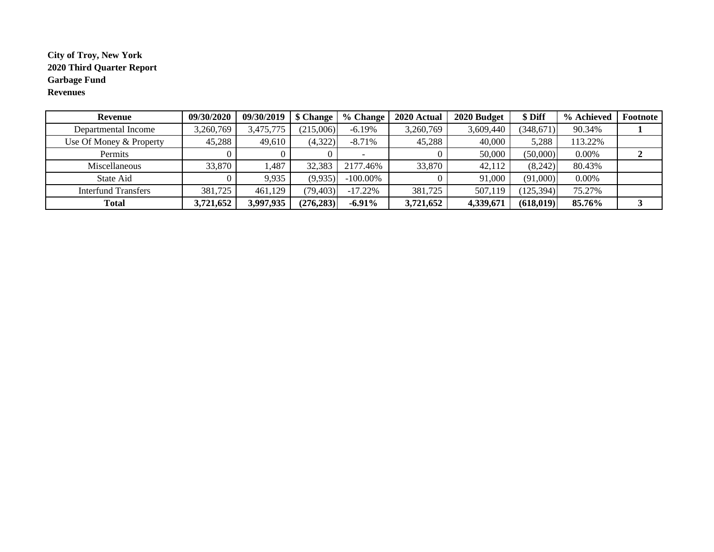### **City of Troy, New York 2020 Third Quarter Report Garbage Fund Revenues**

| Revenue                    | 09/30/2020 | 09/30/2019 | \$ Change  | % Change    | 2020 Actual | 2020 Budget | \$ Diff    | % Achieved | Footnote |
|----------------------------|------------|------------|------------|-------------|-------------|-------------|------------|------------|----------|
| Departmental Income        | 3,260,769  | 3,475,775  | (215,006)  | $-6.19\%$   | 3,260,769   | 3,609,440   | (348, 671) | 90.34%     |          |
| Use Of Money & Property    | 45,288     | 49,610     | (4,322)    | $-8.71%$    | 45,288      | 40,000      | 5,288      | 113.22%    |          |
| Permits                    |            |            |            |             |             | 50,000      | (50,000)   | 0.00%      |          |
| Miscellaneous              | 33,870     | .487       | 32,383     | 2177.46%    | 33,870      | 42,112      | (8,242)    | 80.43%     |          |
| State Aid                  |            | 9,935      | (9,935)    | $-100.00\%$ |             | 91,000      | (91,000)   | 0.00%      |          |
| <b>Interfund Transfers</b> | 381,725    | 461.129    | (79, 403)  | $-17.22%$   | 381,725     | 507,119     | (125, 394) | 75.27%     |          |
| <b>Total</b>               | 3,721,652  | 3,997,935  | (276, 283) | $-6.91\%$   | 3,721,652   | 4,339,671   | (618, 019) | 85.76%     |          |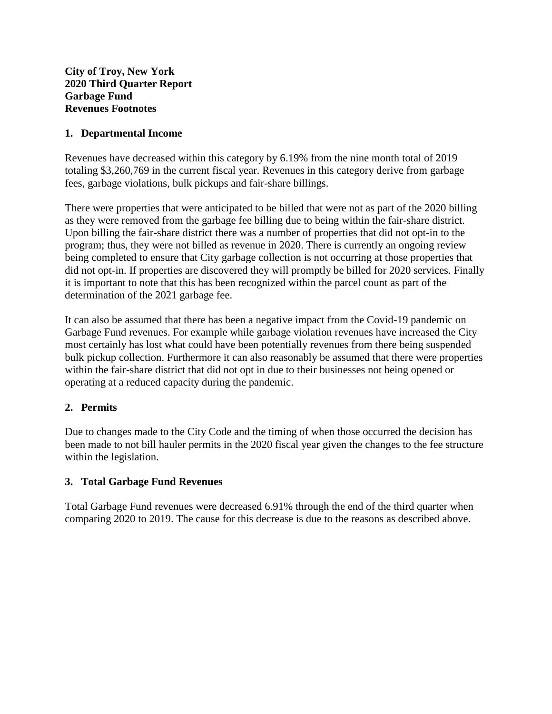## **1. Departmental Income**

Revenues have decreased within this category by 6.19% from the nine month total of 2019 totaling \$3,260,769 in the current fiscal year. Revenues in this category derive from garbage fees, garbage violations, bulk pickups and fair-share billings.

There were properties that were anticipated to be billed that were not as part of the 2020 billing as they were removed from the garbage fee billing due to being within the fair-share district. Upon billing the fair-share district there was a number of properties that did not opt-in to the program; thus, they were not billed as revenue in 2020. There is currently an ongoing review being completed to ensure that City garbage collection is not occurring at those properties that did not opt-in. If properties are discovered they will promptly be billed for 2020 services. Finally it is important to note that this has been recognized within the parcel count as part of the determination of the 2021 garbage fee.

It can also be assumed that there has been a negative impact from the Covid-19 pandemic on Garbage Fund revenues. For example while garbage violation revenues have increased the City most certainly has lost what could have been potentially revenues from there being suspended bulk pickup collection. Furthermore it can also reasonably be assumed that there were properties within the fair-share district that did not opt in due to their businesses not being opened or operating at a reduced capacity during the pandemic.

## **2. Permits**

Due to changes made to the City Code and the timing of when those occurred the decision has been made to not bill hauler permits in the 2020 fiscal year given the changes to the fee structure within the legislation.

### **3. Total Garbage Fund Revenues**

Total Garbage Fund revenues were decreased 6.91% through the end of the third quarter when comparing 2020 to 2019. The cause for this decrease is due to the reasons as described above.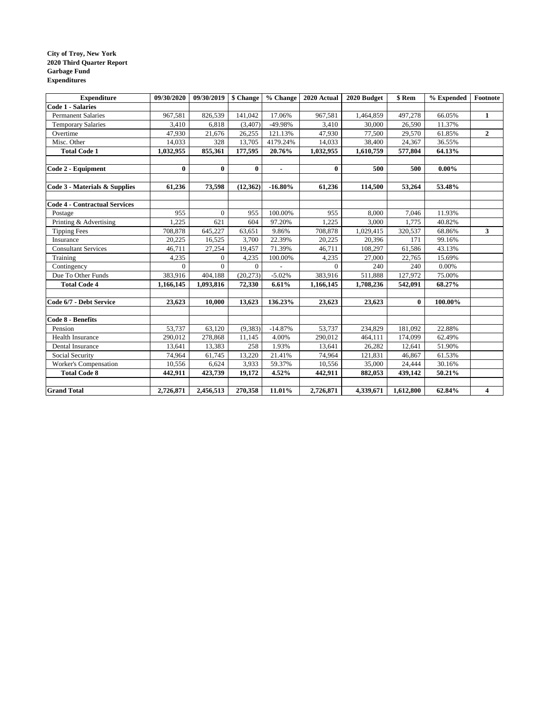#### **City of Troy, New York 2020 Third Quarter Report Garbage Fund Expenditures**

| <b>Expenditure</b>                   | 09/30/2020 | 09/30/2019     | \$ Change | % Change       | 2020 Actual | 2020 Budget | \$ Rem       | % Expended | Footnote     |
|--------------------------------------|------------|----------------|-----------|----------------|-------------|-------------|--------------|------------|--------------|
| <b>Code 1 - Salaries</b>             |            |                |           |                |             |             |              |            |              |
| <b>Permanent Salaries</b>            | 967,581    | 826,539        | 141,042   | 17.06%         | 967,581     | 1,464,859   | 497,278      | 66.05%     | 1            |
| <b>Temporary Salaries</b>            | 3,410      | 6,818          | (3,407)   | -49.98%        | 3,410       | 30,000      | 26,590       | 11.37%     |              |
| Overtime                             | 47,930     | 21,676         | 26,255    | 121.13%        | 47,930      | 77,500      | 29,570       | 61.85%     | $\mathbf{2}$ |
| Misc. Other                          | 14,033     | 328            | 13,705    | 4179.24%       | 14,033      | 38,400      | 24,367       | 36.55%     |              |
| <b>Total Code 1</b>                  | 1,032,955  | 855,361        | 177,595   | 20.76%         | 1,032,955   | 1,610,759   | 577,804      | 64.13%     |              |
|                                      |            |                |           |                |             |             |              |            |              |
| Code 2 - Equipment                   | $\bf{0}$   | $\bf{0}$       | $\bf{0}$  | $\blacksquare$ | $\bf{0}$    | 500         | 500          | $0.00\%$   |              |
|                                      |            |                |           |                |             |             |              |            |              |
| Code 3 - Materials & Supplies        | 61,236     | 73,598         | (12, 362) | $-16.80\%$     | 61,236      | 114,500     | 53,264       | 53.48%     |              |
| <b>Code 4 - Contractual Services</b> |            |                |           |                |             |             |              |            |              |
| Postage                              | 955        | $\mathbf{0}$   | 955       | 100.00%        | 955         | 8,000       | 7,046        | 11.93%     |              |
| Printing & Advertising               | 1,225      | 621            | 604       | 97.20%         | 1,225       | 3,000       | 1,775        | 40.82%     |              |
| <b>Tipping Fees</b>                  | 708,878    | 645,227        | 63,651    | 9.86%          | 708,878     | 1,029,415   | 320,537      | 68.86%     | $\mathbf{3}$ |
| Insurance                            | 20,225     | 16,525         | 3.700     | 22.39%         | 20,225      | 20,396      | 171          | 99.16%     |              |
| <b>Consultant Services</b>           | 46,711     | 27,254         | 19,457    | 71.39%         | 46,711      | 108,297     | 61,586       | 43.13%     |              |
| Training                             | 4,235      | $\overline{0}$ | 4,235     | 100.00%        | 4,235       | 27,000      | 22,765       | 15.69%     |              |
| Contingency                          | $\Omega$   | $\Omega$       | $\Omega$  |                | $\Omega$    | 240         | 240          | 0.00%      |              |
| Due To Other Funds                   | 383,916    | 404,188        | (20, 273) | $-5.02%$       | 383,916     | 511,888     | 127,972      | 75.00%     |              |
| <b>Total Code 4</b>                  | 1,166,145  | 1,093,816      | 72,330    | 6.61%          | 1,166,145   | 1,708,236   | 542,091      | 68.27%     |              |
|                                      |            |                |           |                |             |             |              |            |              |
| Code 6/7 - Debt Service              | 23,623     | 10.000         | 13,623    | 136.23%        | 23,623      | 23,623      | $\mathbf{0}$ | 100.00%    |              |
| Code 8 - Benefits                    |            |                |           |                |             |             |              |            |              |
| Pension                              | 53,737     | 63,120         | (9, 383)  | $-14.87%$      | 53,737      | 234,829     | 181,092      | 22.88%     |              |
| <b>Health Insurance</b>              | 290,012    | 278,868        | 11,145    | 4.00%          | 290,012     | 464,111     | 174,099      | 62.49%     |              |
| Dental Insurance                     | 13,641     | 13,383         | 258       | 1.93%          | 13,641      | 26,282      | 12,641       | 51.90%     |              |
| Social Security                      | 74,964     | 61,745         | 13,220    | 21.41%         | 74,964      | 121,831     | 46,867       | 61.53%     |              |
| Worker's Compensation                | 10,556     | 6,624          | 3,933     | 59.37%         | 10,556      | 35,000      | 24,444       | 30.16%     |              |
| <b>Total Code 8</b>                  | 442,911    | 423,739        | 19,172    | 4.52%          | 442,911     | 882,053     | 439,142      | 50.21%     |              |
|                                      |            |                |           |                |             |             |              |            |              |
| <b>Grand Total</b>                   | 2,726,871  | 2,456,513      | 270,358   | 11.01%         | 2,726,871   | 4,339,671   | 1,612,800    | 62.84%     | 4            |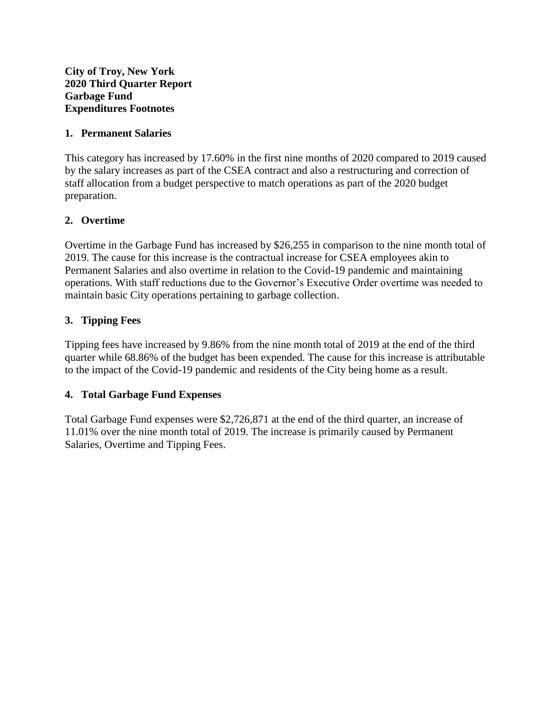**City of Troy, New York 2020 Third Quarter Report Garbage Fund Expenditures Footnotes**

### **1. Permanent Salaries**

This category has increased by 17.60% in the first nine months of 2020 compared to 2019 caused by the salary increases as part of the CSEA contract and also a restructuring and correction of staff allocation from a budget perspective to match operations as part of the 2020 budget preparation.

## **2. Overtime**

Overtime in the Garbage Fund has increased by \$26,255 in comparison to the nine month total of 2019. The cause for this increase is the contractual increase for CSEA employees akin to Permanent Salaries and also overtime in relation to the Covid-19 pandemic and maintaining operations. With staff reductions due to the Governor's Executive Order overtime was needed to maintain basic City operations pertaining to garbage collection.

## **3. Tipping Fees**

Tipping fees have increased by 9.86% from the nine month total of 2019 at the end of the third quarter while 68.86% of the budget has been expended. The cause for this increase is attributable to the impact of the Covid-19 pandemic and residents of the City being home as a result.

## **4. Total Garbage Fund Expenses**

Total Garbage Fund expenses were \$2,726,871 at the end of the third quarter, an increase of 11.01% over the nine month total of 2019. The increase is primarily caused by Permanent Salaries, Overtime and Tipping Fees.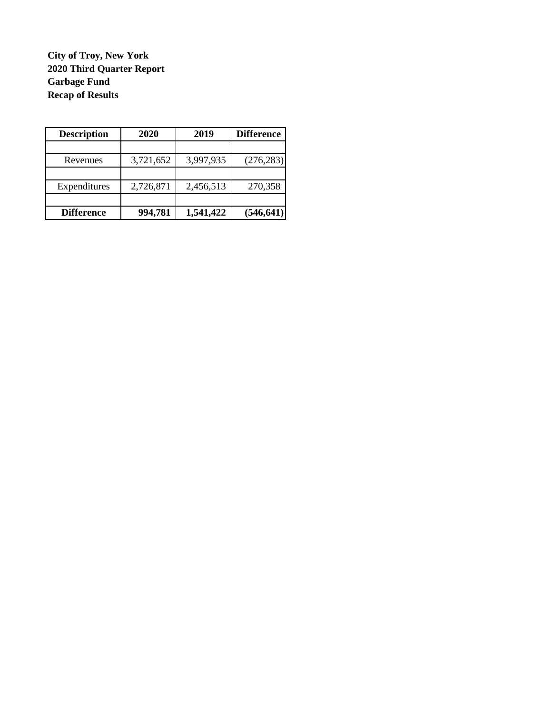**City of Troy, New York 2020 Third Quarter Report Garbage Fund Recap of Results**

| <b>Description</b> | 2020      | 2019      | <b>Difference</b> |
|--------------------|-----------|-----------|-------------------|
|                    |           |           |                   |
| Revenues           | 3,721,652 | 3,997,935 | (276, 283)        |
|                    |           |           |                   |
| Expenditures       | 2,726,871 | 2,456,513 | 270,358           |
| <b>Difference</b>  | 994,781   | 1,541,422 | (546, 641)        |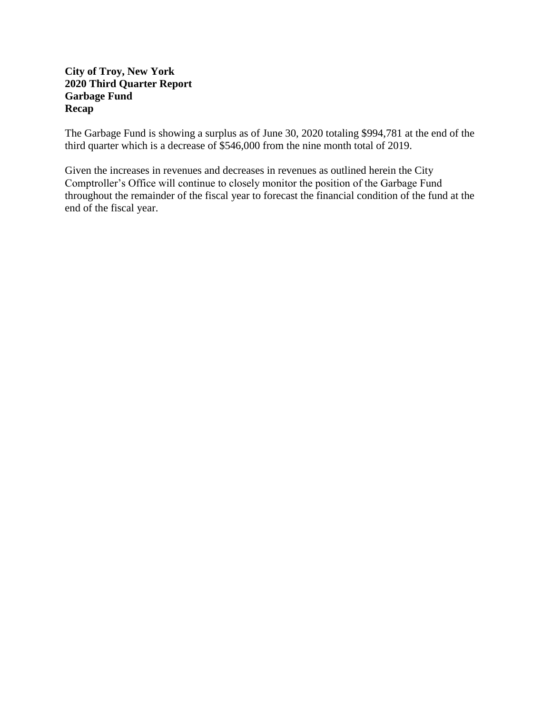## **City of Troy, New York 2020 Third Quarter Report Garbage Fund Recap**

The Garbage Fund is showing a surplus as of June 30, 2020 totaling \$994,781 at the end of the third quarter which is a decrease of \$546,000 from the nine month total of 2019.

Given the increases in revenues and decreases in revenues as outlined herein the City Comptroller's Office will continue to closely monitor the position of the Garbage Fund throughout the remainder of the fiscal year to forecast the financial condition of the fund at the end of the fiscal year.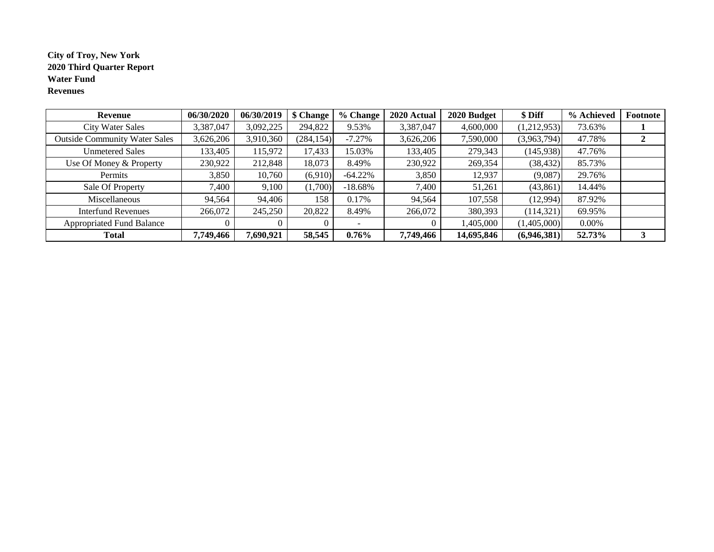### **City of Troy, New York Water Fund Revenues 2020 Third Quarter Report**

| Revenue                              | 06/30/2020 | 06/30/2019 | \$ Change  | % Change   | 2020 Actual | 2020 Budget | \$ Diff     | % Achieved | Footnote |
|--------------------------------------|------------|------------|------------|------------|-------------|-------------|-------------|------------|----------|
| <b>City Water Sales</b>              | 3,387,047  | 3,092,225  | 294,822    | 9.53%      | 3,387,047   | 4,600,000   | (1,212,953) | 73.63%     |          |
| <b>Outside Community Water Sales</b> | 3,626,206  | 3,910,360  | (284, 154) | $-7.27%$   | 3,626,206   | 7,590,000   | (3,963,794) | 47.78%     | ◢        |
| <b>Unmetered Sales</b>               | 133,405    | 115,972    | 17,433     | 15.03%     | 133,405     | 279,343     | (145,938)   | 47.76%     |          |
| Use Of Money & Property              | 230,922    | 212,848    | 18,073     | 8.49%      | 230,922     | 269,354     | (38, 432)   | 85.73%     |          |
| Permits                              | 3,850      | 10,760     | (6,910)    | $-64.22\%$ | 3,850       | 12,937      | (9,087)     | 29.76%     |          |
| Sale Of Property                     | 7,400      | 9,100      | (1,700)    | $-18.68%$  | 7,400       | 51,261      | (43, 861)   | 14.44%     |          |
| Miscellaneous                        | 94,564     | 94,406     | 158        | 0.17%      | 94,564      | 107,558     | (12,994)    | 87.92%     |          |
| <b>Interfund Revenues</b>            | 266,072    | 245,250    | 20,822     | 8.49%      | 266,072     | 380,393     | (114, 321)  | 69.95%     |          |
| <b>Appropriated Fund Balance</b>     |            |            |            |            |             | 1,405,000   | (1,405,000) | 0.00%      |          |
| <b>Total</b>                         | 7,749,466  | 7,690,921  | 58,545     | $0.76\%$   | 7,749,466   | 14,695,846  | (6,946,381) | 52.73%     |          |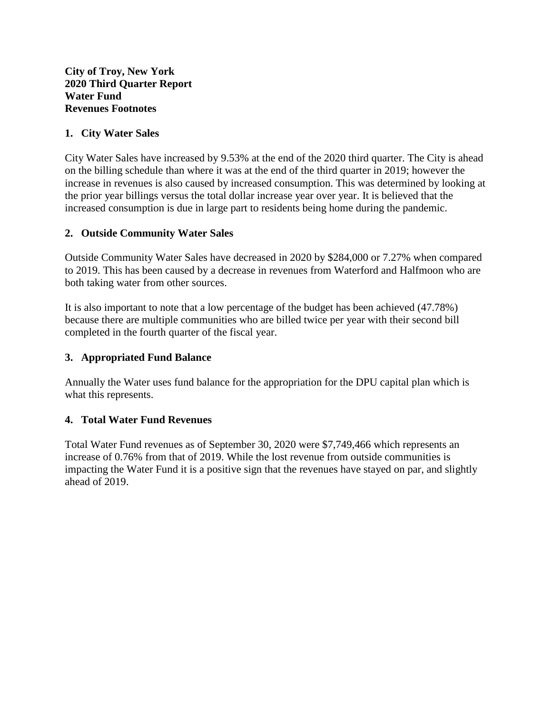### **1. City Water Sales**

City Water Sales have increased by 9.53% at the end of the 2020 third quarter. The City is ahead on the billing schedule than where it was at the end of the third quarter in 2019; however the increase in revenues is also caused by increased consumption. This was determined by looking at the prior year billings versus the total dollar increase year over year. It is believed that the increased consumption is due in large part to residents being home during the pandemic.

### **2. Outside Community Water Sales**

Outside Community Water Sales have decreased in 2020 by \$284,000 or 7.27% when compared to 2019. This has been caused by a decrease in revenues from Waterford and Halfmoon who are both taking water from other sources.

It is also important to note that a low percentage of the budget has been achieved (47.78%) because there are multiple communities who are billed twice per year with their second bill completed in the fourth quarter of the fiscal year.

## **3. Appropriated Fund Balance**

Annually the Water uses fund balance for the appropriation for the DPU capital plan which is what this represents.

### **4. Total Water Fund Revenues**

Total Water Fund revenues as of September 30, 2020 were \$7,749,466 which represents an increase of 0.76% from that of 2019. While the lost revenue from outside communities is impacting the Water Fund it is a positive sign that the revenues have stayed on par, and slightly ahead of 2019.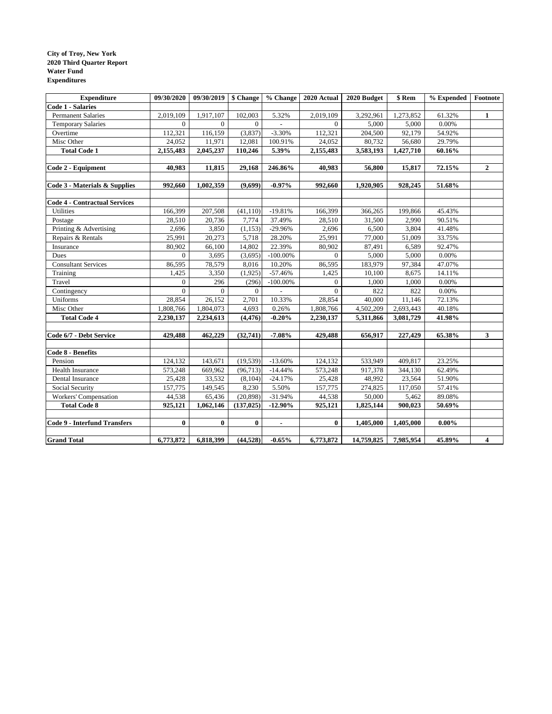#### **City of Troy, New York Water Fund Expenditures 2020 Third Quarter Report**

| <b>Expenditure</b>                   | 09/30/2020     | 09/30/2019   \$ Change |                | $\sqrt[9]{\frac{6}{5}}$ Change | 2020 Actual  | 2020 Budget | \$ Rem    | % Expended | $\bf Footnote$ |
|--------------------------------------|----------------|------------------------|----------------|--------------------------------|--------------|-------------|-----------|------------|----------------|
| <b>Code 1 - Salaries</b>             |                |                        |                |                                |              |             |           |            |                |
| <b>Permanent Salaries</b>            | 2,019,109      | 1,917,107              | 102,003        | 5.32%                          | 2,019,109    | 3,292,961   | 1,273,852 | 61.32%     | $\mathbf{1}$   |
| <b>Temporary Salaries</b>            | $\Omega$       | $\overline{0}$         | $\overline{0}$ | $\frac{1}{2}$                  | $\Omega$     | 5,000       | 5,000     | 0.00%      |                |
| Overtime                             | 112,321        | 116,159                | (3,837)        | $-3.30%$                       | 112,321      | 204,500     | 92,179    | 54.92%     |                |
| Misc Other                           | 24,052         | 11,971                 | 12,081         | 100.91%                        | 24,052       | 80,732      | 56,680    | 29.79%     |                |
| <b>Total Code 1</b>                  | 2,155,483      | 2,045,237              | 110,246        | 5.39%                          | 2,155,483    | 3,583,193   | 1,427,710 | 60.16%     |                |
|                                      |                |                        |                |                                |              |             |           |            |                |
| Code 2 - Equipment                   | 40,983         | 11,815                 | 29,168         | 246.86%                        | 40,983       | 56,800      | 15,817    | 72.15%     | $\overline{2}$ |
|                                      |                |                        |                |                                |              |             |           |            |                |
| Code 3 - Materials & Supplies        | 992,660        | 1,002,359              | (9,699)        | $-0.97%$                       | 992,660      | 1,920,905   | 928,245   | 51.68%     |                |
|                                      |                |                        |                |                                |              |             |           |            |                |
| <b>Code 4 - Contractual Services</b> |                |                        |                |                                |              |             |           |            |                |
| Utilities                            | 166,399        | 207,508                | (41, 110)      | $-19.81%$                      | 166,399      | 366,265     | 199,866   | 45.43%     |                |
| Postage                              | 28,510         | 20,736                 | 7,774          | 37.49%                         | 28,510       | 31,500      | 2,990     | 90.51%     |                |
| Printing & Advertising               | 2,696          | 3,850                  | (1, 153)       | $-29.96%$                      | 2,696        | 6,500       | 3,804     | 41.48%     |                |
| Repairs & Rentals                    | 25,991         | 20,273                 | 5,718          | 28.20%                         | 25,991       | 77,000      | 51,009    | 33.75%     |                |
| Insurance                            | 80,902         | 66,100                 | 14,802         | 22.39%                         | 80,902       | 87,491      | 6,589     | 92.47%     |                |
| Dues                                 | $\Omega$       | 3,695                  | (3,695)        | $-100.00\%$                    | $\Omega$     | 5,000       | 5,000     | 0.00%      |                |
| <b>Consultant Services</b>           | 86,595         | 78,579                 | 8,016          | 10.20%                         | 86,595       | 183,979     | 97,384    | 47.07%     |                |
| Training                             | 1,425          | 3,350                  | (1,925)        | $-57.46%$                      | 1,425        | 10,100      | 8,675     | 14.11%     |                |
| Travel                               | $\overline{0}$ | 296                    | (296)          | $-100.00\%$                    | $\mathbf{0}$ | 1,000       | 1,000     | 0.00%      |                |
| Contingency                          | $\Omega$       | $\overline{0}$         | $\overline{0}$ | $\blacksquare$                 | $\Omega$     | 822         | 822       | 0.00%      |                |
| Uniforms                             | 28,854         | 26,152                 | 2,701          | 10.33%                         | 28,854       | 40,000      | 11,146    | 72.13%     |                |
| Misc Other                           | 1,808,766      | 1,804,073              | 4,693          | 0.26%                          | 1,808,766    | 4,502,209   | 2,693,443 | 40.18%     |                |
| <b>Total Code 4</b>                  | 2,230,137      | 2,234,613              | (4, 476)       | $-0.20%$                       | 2,230,137    | 5,311,866   | 3,081,729 | 41.98%     |                |
|                                      |                |                        |                |                                |              |             |           |            |                |
| Code 6/7 - Debt Service              | 429,488        | 462,229                | (32,741)       | $-7.08%$                       | 429,488      | 656,917     | 227,429   | 65.38%     | 3              |
|                                      |                |                        |                |                                |              |             |           |            |                |
| Code 8 - Benefits                    |                |                        |                |                                |              |             |           |            |                |
| Pension                              | 124,132        | 143,671                | (19, 539)      | $-13.60%$                      | 124,132      | 533,949     | 409,817   | 23.25%     |                |
| <b>Health Insurance</b>              | 573,248        | 669,962                | (96, 713)      | $-14.44%$                      | 573,248      | 917,378     | 344,130   | 62.49%     |                |
| Dental Insurance                     | 25,428         | 33,532                 | (8,104)        | $-24.17%$                      | 25,428       | 48,992      | 23,564    | 51.90%     |                |
| Social Security                      | 157,775        | 149,545                | 8,230          | 5.50%                          | 157,775      | 274,825     | 117,050   | 57.41%     |                |
| Workers' Compensation                | 44,538         | 65,436                 | (20, 898)      | $-31.94%$                      | 44,538       | 50,000      | 5,462     | 89.08%     |                |
| <b>Total Code 8</b>                  | 925,121        | 1,062,146              | (137, 025)     | $-12.90\%$                     | 925,121      | 1,825,144   | 900,023   | 50.69%     |                |
|                                      |                |                        |                |                                |              |             |           |            |                |
| <b>Code 9 - Interfund Transfers</b>  | $\bf{0}$       | $\bf{0}$               | $\bf{0}$       | $\blacksquare$                 | $\bf{0}$     | 1,405,000   | 1,405,000 | $0.00\%$   |                |
| <b>Grand Total</b>                   | 6,773,872      | 6,818,399              | (44, 528)      | $-0.65%$                       | 6,773,872    | 14,759,825  | 7,985,954 | 45.89%     | 4              |
|                                      |                |                        |                |                                |              |             |           |            |                |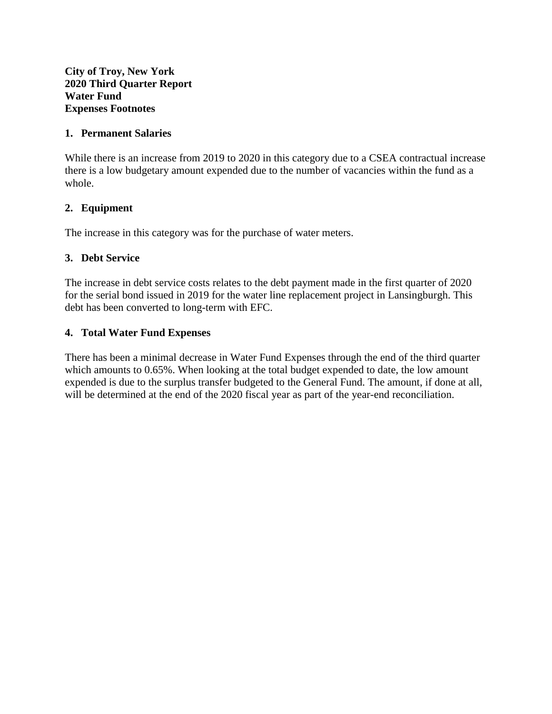**City of Troy, New York 2020 Third Quarter Report Water Fund Expenses Footnotes**

### **1. Permanent Salaries**

While there is an increase from 2019 to 2020 in this category due to a CSEA contractual increase there is a low budgetary amount expended due to the number of vacancies within the fund as a whole.

## **2. Equipment**

The increase in this category was for the purchase of water meters.

# **3. Debt Service**

The increase in debt service costs relates to the debt payment made in the first quarter of 2020 for the serial bond issued in 2019 for the water line replacement project in Lansingburgh. This debt has been converted to long-term with EFC.

## **4. Total Water Fund Expenses**

There has been a minimal decrease in Water Fund Expenses through the end of the third quarter which amounts to 0.65%. When looking at the total budget expended to date, the low amount expended is due to the surplus transfer budgeted to the General Fund. The amount, if done at all, will be determined at the end of the 2020 fiscal year as part of the year-end reconciliation.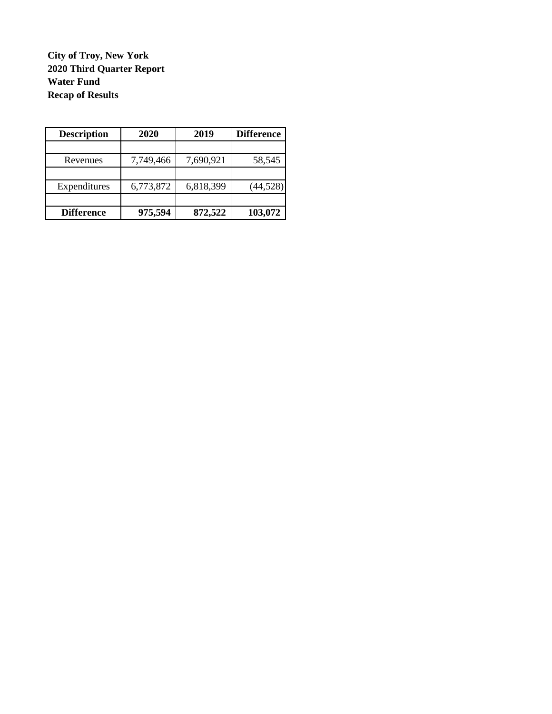**City of Troy, New York 2020 Third Quarter Report Water Fund Recap of Results**

| <b>Description</b> | 2020      | 2019      | <b>Difference</b> |  |  |
|--------------------|-----------|-----------|-------------------|--|--|
|                    |           |           |                   |  |  |
| Revenues           | 7,749,466 | 7,690,921 | 58,545            |  |  |
|                    |           |           |                   |  |  |
| Expenditures       | 6,773,872 | 6,818,399 | (44, 528)         |  |  |
| <b>Difference</b>  | 975,594   | 872,522   | 103,072           |  |  |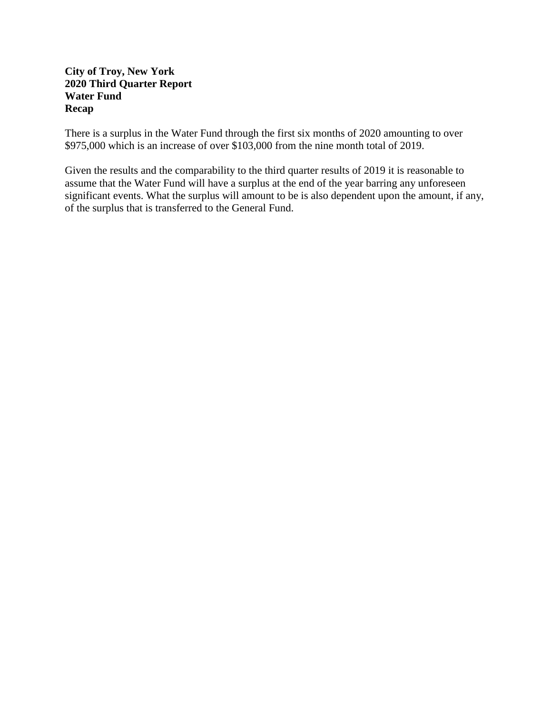## **City of Troy, New York 2020 Third Quarter Report Water Fund Recap**

There is a surplus in the Water Fund through the first six months of 2020 amounting to over \$975,000 which is an increase of over \$103,000 from the nine month total of 2019.

Given the results and the comparability to the third quarter results of 2019 it is reasonable to assume that the Water Fund will have a surplus at the end of the year barring any unforeseen significant events. What the surplus will amount to be is also dependent upon the amount, if any, of the surplus that is transferred to the General Fund.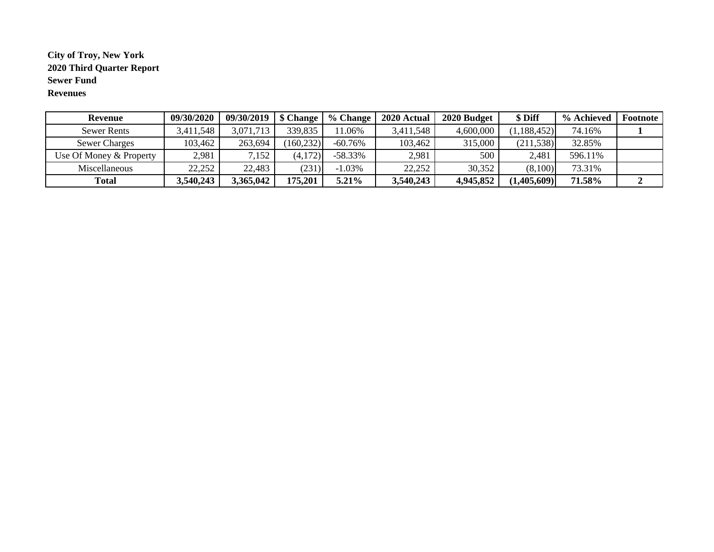### **City of Troy, New York 2020 Third Quarter Report Sewer Fund Revenues**

| Revenue                 | 09/30/2020 | 09/30/2019 | \$ Change  | $%$ Change | 2020 Actual | 2020 Budget | \$ Diff       | % Achieved | Footnote |
|-------------------------|------------|------------|------------|------------|-------------|-------------|---------------|------------|----------|
| <b>Sewer Rents</b>      | 3,411,548  | 3,071,713  | 339,835    | 1.06%      | 3,411,548   | 4,600,000   | (1, 188, 452) | 74.16%     |          |
| <b>Sewer Charges</b>    | 103,462    | 263,694    | (160, 232) | $-60.76\%$ | 103,462     | 315,000     | (211, 538)    | 32.85%     |          |
| Use Of Money & Property | 2,981      | 7,152      | (4,172)    | $-58.33\%$ | 2,981       | 500         | 2,481         | 596.11%    |          |
| <b>Miscellaneous</b>    | 22,252     | 22,483     | (231)      | $-1.03\%$  | 22,252      | 30,352      | (8,100)       | 73.31%     |          |
| <b>Total</b>            | 3,540,243  | 3,365,042  | 175,201    | 5.21%      | 3,540,243   | 4,945,852   | (1,405,609)   | 71.58%     |          |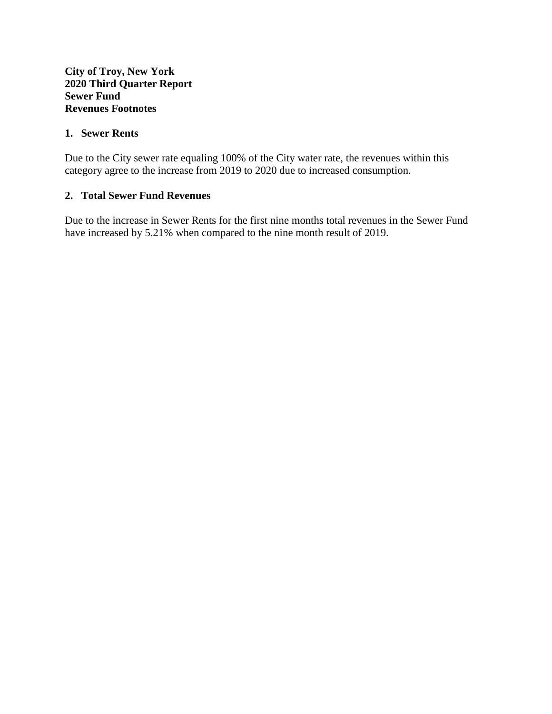### **City of Troy, New York 2020 Third Quarter Report Sewer Fund Revenues Footnotes**

### **1. Sewer Rents**

Due to the City sewer rate equaling 100% of the City water rate, the revenues within this category agree to the increase from 2019 to 2020 due to increased consumption.

## **2. Total Sewer Fund Revenues**

Due to the increase in Sewer Rents for the first nine months total revenues in the Sewer Fund have increased by 5.21% when compared to the nine month result of 2019.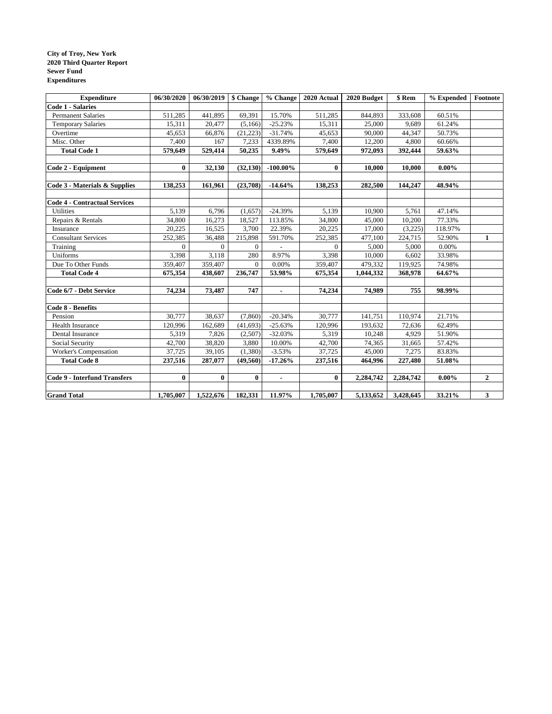#### **City of Troy, New York 2020 Third Quarter Report Sewer Fund Expenditures**

| <b>Expenditure</b>                   | 06/30/2020 | $06/30/2019$ \$ Change |              | % Change       | 2020 Actual | 2020 Budget | \$ Rem    | % Expended | Footnote     |
|--------------------------------------|------------|------------------------|--------------|----------------|-------------|-------------|-----------|------------|--------------|
| <b>Code 1 - Salaries</b>             |            |                        |              |                |             |             |           |            |              |
| <b>Permanent Salaries</b>            | 511,285    | 441,895                | 69,391       | 15.70%         | 511,285     | 844,893     | 333,608   | 60.51%     |              |
| <b>Temporary Salaries</b>            | 15,311     | 20,477                 | (5,166)      | $-25.23%$      | 15,311      | 25,000      | 9,689     | 61.24%     |              |
| Overtime                             | 45,653     | 66,876                 | (21, 223)    | $-31.74%$      | 45,653      | 90,000      | 44,347    | 50.73%     |              |
| Misc. Other                          | 7,400      | 167                    | 7,233        | 4339.89%       | 7,400       | 12,200      | 4,800     | 60.66%     |              |
| <b>Total Code 1</b>                  | 579,649    | 529,414                | 50,235       | 9.49%          | 579,649     | 972,093     | 392,444   | 59.63%     |              |
|                                      |            |                        |              |                |             |             |           |            |              |
| Code 2 - Equipment                   | $\bf{0}$   | 32,130                 | (32, 130)    | $-100.00\%$    | $\bf{0}$    | 10,000      | 10,000    | $0.00\%$   |              |
|                                      |            |                        |              |                |             |             |           |            |              |
| Code 3 - Materials & Supplies        | 138,253    | 161,961                | (23,708)     | $-14.64%$      | 138,253     | 282,500     | 144,247   | 48.94%     |              |
|                                      |            |                        |              |                |             |             |           |            |              |
| <b>Code 4 - Contractual Services</b> |            |                        |              |                |             |             |           |            |              |
| <b>Utilities</b>                     | 5,139      | 6,796                  | (1,657)      | $-24.39%$      | 5,139       | 10,900      | 5,761     | 47.14%     |              |
| Repairs & Rentals                    | 34,800     | 16,273                 | 18,527       | 113.85%        | 34,800      | 45,000      | 10,200    | 77.33%     |              |
| Insurance                            | 20,225     | 16,525                 | 3,700        | 22.39%         | 20,225      | 17,000      | (3,225)   | 118.97%    |              |
| <b>Consultant Services</b>           | 252,385    | 36,488                 | 215,898      | 591.70%        | 252,385     | 477,100     | 224,715   | 52.90%     | 1            |
| Training                             | $\Omega$   | $\Omega$               | $\Omega$     |                | $\Omega$    | 5,000       | 5,000     | 0.00%      |              |
| Uniforms                             | 3,398      | 3,118                  | 280          | 8.97%          | 3,398       | 10,000      | 6,602     | 33.98%     |              |
| Due To Other Funds                   | 359,407    | 359,407                | $\mathbf{0}$ | 0.00%          | 359,407     | 479,332     | 119,925   | 74.98%     |              |
| <b>Total Code 4</b>                  | 675,354    | 438,607                | 236,747      | 53.98%         | 675,354     | 1,044,332   | 368,978   | 64.67%     |              |
|                                      |            |                        |              |                |             |             |           |            |              |
| Code 6/7 - Debt Service              | 74,234     | 73,487                 | 747          | ٠              | 74,234      | 74,989      | 755       | 98.99%     |              |
| Code 8 - Benefits                    |            |                        |              |                |             |             |           |            |              |
| Pension                              | 30,777     | 38,637                 | (7,860)      | $-20.34%$      | 30,777      | 141,751     | 110,974   | 21.71%     |              |
| <b>Health Insurance</b>              | 120,996    | 162,689                | (41, 693)    | $-25.63%$      | 120,996     | 193,632     | 72,636    | 62.49%     |              |
| Dental Insurance                     | 5,319      | 7,826                  | (2,507)      | $-32.03%$      | 5,319       | 10,248      | 4,929     | 51.90%     |              |
| Social Security                      | 42,700     | 38,820                 | 3,880        | 10.00%         | 42,700      | 74,365      | 31,665    | 57.42%     |              |
| Worker's Compensation                | 37,725     | 39,105                 | (1,380)      | $-3.53%$       | 37,725      | 45,000      | 7,275     | 83.83%     |              |
| <b>Total Code 8</b>                  | 237,516    | 287,077                | (49, 560)    | $-17.26%$      | 237,516     | 464,996     | 227,480   | 51.08%     |              |
|                                      |            |                        |              |                |             |             |           |            |              |
| <b>Code 9 - Interfund Transfers</b>  | $\bf{0}$   | $\bf{0}$               | $\bf{0}$     | $\blacksquare$ | $\bf{0}$    | 2,284,742   | 2,284,742 | $0.00\%$   | $\mathbf{2}$ |
| <b>Grand Total</b>                   | 1,705,007  | 1,522,676              | 182,331      | 11.97%         | 1,705,007   | 5,133,652   | 3,428,645 | 33.21%     | $\mathbf{3}$ |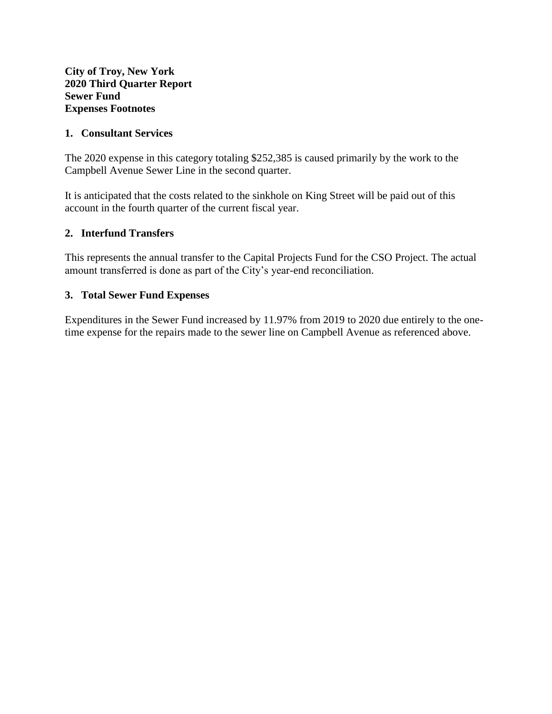### **1. Consultant Services**

The 2020 expense in this category totaling \$252,385 is caused primarily by the work to the Campbell Avenue Sewer Line in the second quarter.

It is anticipated that the costs related to the sinkhole on King Street will be paid out of this account in the fourth quarter of the current fiscal year.

## **2. Interfund Transfers**

This represents the annual transfer to the Capital Projects Fund for the CSO Project. The actual amount transferred is done as part of the City's year-end reconciliation.

### **3. Total Sewer Fund Expenses**

Expenditures in the Sewer Fund increased by 11.97% from 2019 to 2020 due entirely to the onetime expense for the repairs made to the sewer line on Campbell Avenue as referenced above.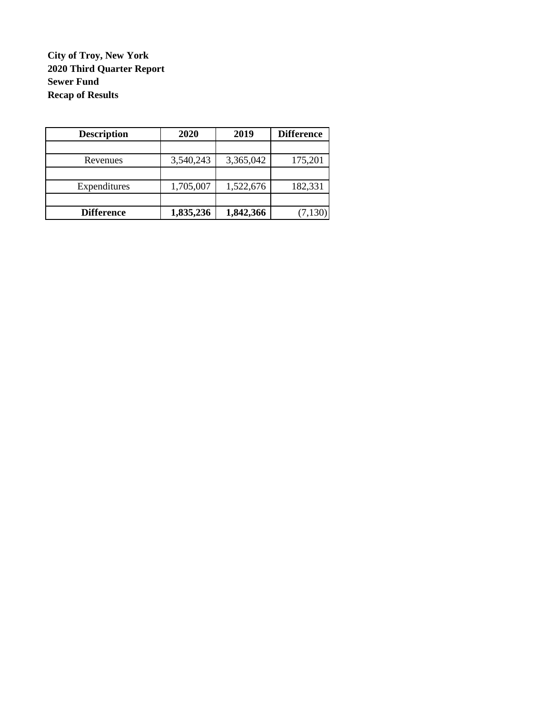**City of Troy, New York Sewer Fund Recap of Results 2020 Third Quarter Report**

| <b>Description</b> | 2020      | 2019      | <b>Difference</b> |
|--------------------|-----------|-----------|-------------------|
|                    |           |           |                   |
| Revenues           | 3,540,243 | 3,365,042 | 175,201           |
|                    |           |           |                   |
| Expenditures       | 1,705,007 | 1,522,676 | 182,331           |
|                    |           |           |                   |
| <b>Difference</b>  | 1,835,236 | 1,842,366 | (7, 130)          |